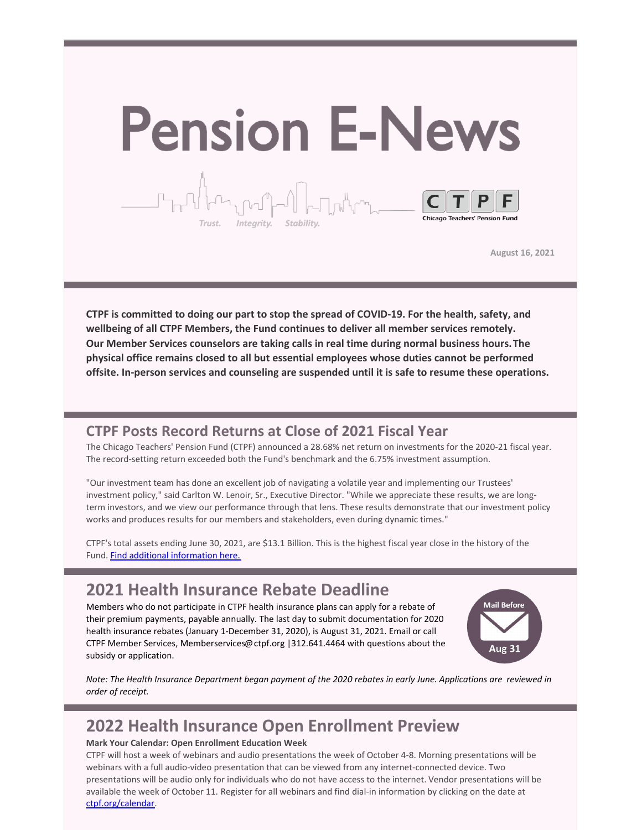

**August 16, 2021**

**CTPF is committed to doing our part to stop the spread of COVID-19. For the health, safety, and wellbeing of all CTPF Members, the Fund continues to deliver all member services remotely. Our Member Services counselors are taking calls in real time during normal business hours.The physical office remains closed to all but essential employees whose duties cannot be performed offsite. In-person services and counseling are suspended until it is safe to resume these operations.**

### **CTPF Posts Record Returns at Close of 2021 Fiscal Year**

The Chicago Teachers' Pension Fund (CTPF) announced a 28.68% net return on investments for the 2020-21 fiscal year. The record-setting return exceeded both the Fund's benchmark and the 6.75% investment assumption.

"Our investment team has done an excellent job of navigating a volatile year and implementing our Trustees' investment policy," said Carlton W. Lenoir, Sr., Executive Director. "While we appreciate these results, we are longterm investors, and we view our performance through that lens. These results demonstrate that our investment policy works and produces results for our members and stakeholders, even during dynamic times."

CTPF's total assets ending June 30, 2021, are \$13.1 Billion. This is the highest fiscal year close in the history of the Fund. Find additional [information](https://www.ctpf.org/news/ctpf-financial-update-june-30-2021) here.

### **2021 Health Insurance Rebate Deadline**

Members who do not participate in CTPF health insurance plans can apply for a rebate of their premium payments, payable annually. The last day to submit documentation for 2020 health insurance rebates (January 1-December 31, 2020), is August 31, 2021. Email or call CTPF Member Services, Memberservices@ctpf.org |312.641.4464 with questions about the subsidy or application.



Note: The Health Insurance Department began payment of the 2020 rebates in early June. Applications are reviewed in *order of receipt.*

## **2022 Health Insurance Open Enrollment Preview**

#### **Mark Your Calendar: Open Enrollment Education Week**

CTPF will host a week of webinars and audio presentations the week of October 4-8. Morning presentations will be webinars with a full audio-video presentation that can be viewed from any internet-connected device. Two presentations will be audio only for individuals who do not have access to the internet. Vendor presentations will be available the week of October 11. Register for all webinars and find dial-in information by clicking on the date at [ctpf.org/calendar](http://www.ctpf.org/calendar).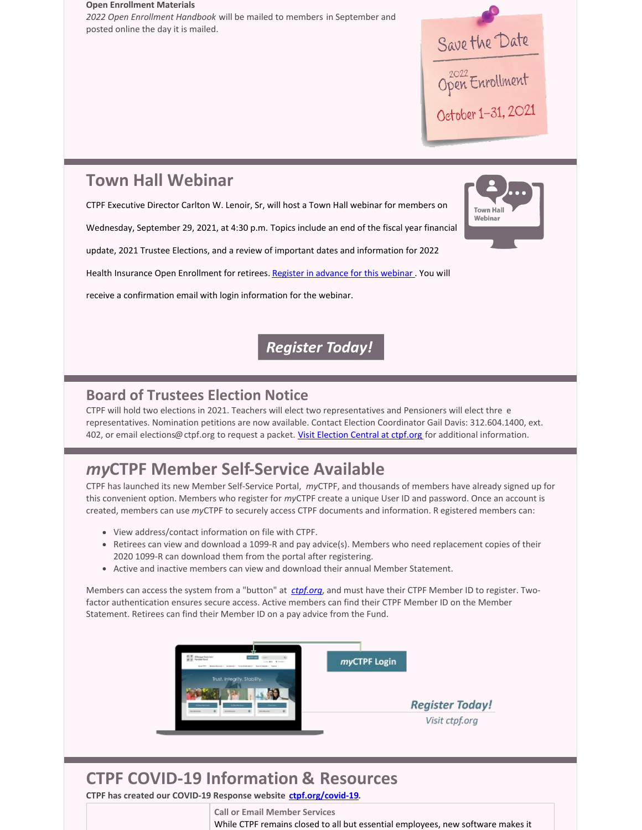# **Open Enrollment Materials** *2022 Open Enrollment Handbook* will be mailed to members in September and posted online the day it is mailed. Save the Date October 1-31, 2021 **Town Hall Webinar** CTPF Executive Director Carlton W. Lenoir, Sr, will host a Town Hall webinar for members on **Town Hall** Webinar Wednesday, September 29, 2021, at 4:30 p.m. Topics include an end of the fiscal year financial update, 2021 Trustee Elections, and a review of important dates and information for 2022 Health Insurance Open Enrollment for retirees. Register in [advance](https://ctpf.zoom.us/webinar/register/WN_ZusUkoM5RBij7r2q5ms9SA) for this webinar. You will

receive a confirmation email with login information for the webinar.

**Register Today!** 

### **Board of Trustees Election Notice**

CTPF will hold two elections in 2021. Teachers will elect two representatives and Pensioners will elect thre e representatives. Nomination petitions are now available. Contact Election Coordinator Gail Davis: 312.604.1400, ext. 402, or email elections@ctpf.org to request a packet. Visit [Election](https://www.ctpf.org/about-ctpf/election-central-2021) Central at ctpf.org for additional information.

# *my***CTPF Member Self-Service Available**

CTPF has launched its new Member Self-Service Portal, *my*CTPF, and thousands of members have already signed up for this convenient option. Members who register for *my*CTPF create a unique User ID and password. Once an account is created, members can use *my*CTPF to securely access CTPF documents and information. R egistered members can:

- View address/contact information on file with CTPF.
- Retirees can view and download a 1099-R and pay advice(s). Members who need replacement copies of their 2020 1099-R can download them from the portal after registering.
- Active and inactive members can view and download their annual Member Statement.

Members can access the system from a "button" at *[ctpf.org](http://www.ctpf.org)*, and must have their CTPF Member ID to register. Twofactor authentication ensures secure access. Active members can find their CTPF Member ID on the Member Statement. Retirees can find their Member ID on a pay advice from the Fund.



# **CTPF COVID-19 Information & Resources**

**CTPF has created our COVID-19 Response website [ctpf.org/covid-19](http://ctpf.org/covid-19).**

**Call or Email Member Services** While CTPF remains closed to all but essential employees, new software makes it